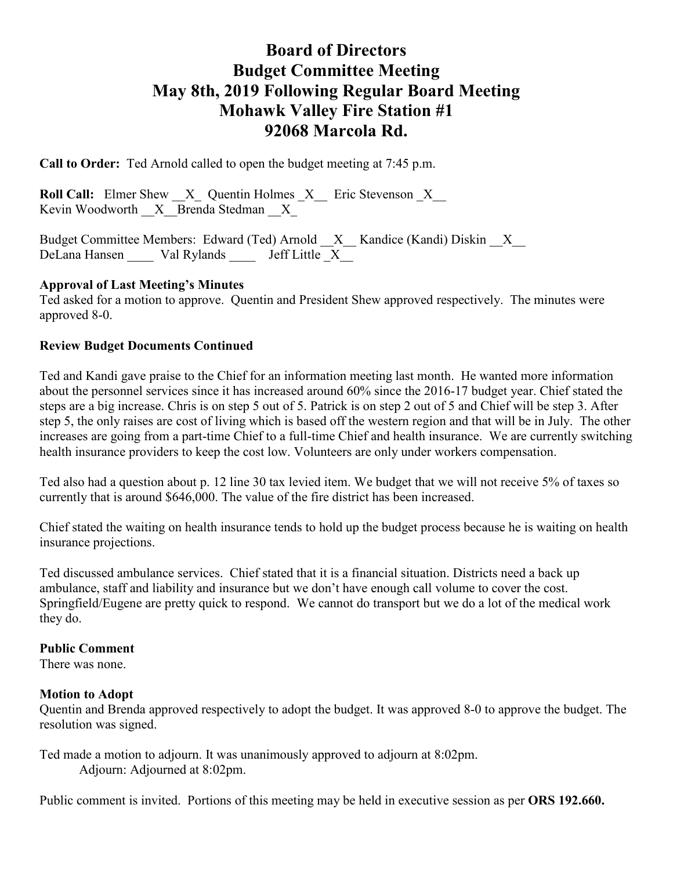# **Board of Directors Budget Committee Meeting May 8th, 2019 Following Regular Board Meeting Mohawk Valley Fire Station #1 92068 Marcola Rd.**

**Call to Order:** Ted Arnold called to open the budget meeting at 7:45 p.m.

**Roll Call:** Elmer Shew  $X$  Quentin Holmes  $X$  Eric Stevenson  $X$ Kevin Woodworth  $\overline{X}$  Brenda Stedman  $\overline{X}$ 

Budget Committee Members: Edward (Ted) Arnold \_\_X\_\_ Kandice (Kandi) Diskin \_\_X\_\_ DeLana Hansen Val Rylands Jeff Little X

## **Approval of Last Meeting's Minutes**

Ted asked for a motion to approve. Quentin and President Shew approved respectively. The minutes were approved 8-0.

## **Review Budget Documents Continued**

Ted and Kandi gave praise to the Chief for an information meeting last month. He wanted more information about the personnel services since it has increased around 60% since the 2016-17 budget year. Chief stated the steps are a big increase. Chris is on step 5 out of 5. Patrick is on step 2 out of 5 and Chief will be step 3. After step 5, the only raises are cost of living which is based off the western region and that will be in July. The other increases are going from a part-time Chief to a full-time Chief and health insurance. We are currently switching health insurance providers to keep the cost low. Volunteers are only under workers compensation.

Ted also had a question about p. 12 line 30 tax levied item. We budget that we will not receive 5% of taxes so currently that is around \$646,000. The value of the fire district has been increased.

Chief stated the waiting on health insurance tends to hold up the budget process because he is waiting on health insurance projections.

Ted discussed ambulance services. Chief stated that it is a financial situation. Districts need a back up ambulance, staff and liability and insurance but we don't have enough call volume to cover the cost. Springfield/Eugene are pretty quick to respond. We cannot do transport but we do a lot of the medical work they do.

#### **Public Comment**

There was none.

#### **Motion to Adopt**

Quentin and Brenda approved respectively to adopt the budget. It was approved 8-0 to approve the budget. The resolution was signed.

Ted made a motion to adjourn. It was unanimously approved to adjourn at 8:02pm. Adjourn: Adjourned at 8:02pm.

Public comment is invited. Portions of this meeting may be held in executive session as per **ORS 192.660.**